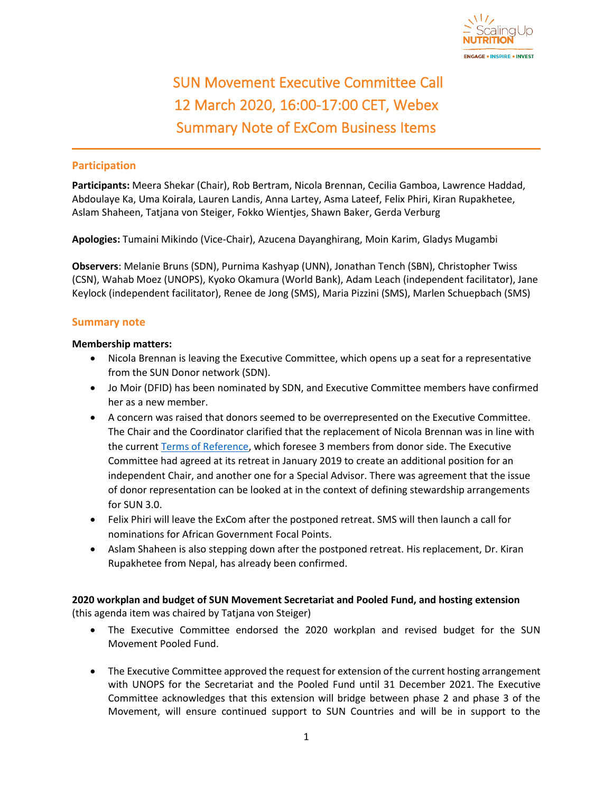

## SUN Movement Executive Committee Call 12 March 2020, 16:00-17:00 CET, Webex Summary Note of ExCom Business Items

## **Participation**

**Participants:** Meera Shekar (Chair), Rob Bertram, Nicola Brennan, Cecilia Gamboa, Lawrence Haddad, Abdoulaye Ka, Uma Koirala, Lauren Landis, Anna Lartey, Asma Lateef, Felix Phiri, Kiran Rupakhetee, Aslam Shaheen, Tatjana von Steiger, Fokko Wientjes, Shawn Baker, Gerda Verburg

**Apologies:** Tumaini Mikindo (Vice-Chair), Azucena Dayanghirang, Moin Karim, Gladys Mugambi

**Observers**: Melanie Bruns (SDN), Purnima Kashyap (UNN), Jonathan Tench (SBN), Christopher Twiss (CSN), Wahab Moez (UNOPS), Kyoko Okamura (World Bank), Adam Leach (independent facilitator), Jane Keylock (independent facilitator), Renee de Jong (SMS), Maria Pizzini (SMS), Marlen Schuepbach (SMS)

## **Summary note**

## **Membership matters:**

- Nicola Brennan is leaving the Executive Committee, which opens up a seat for a representative from the SUN Donor network (SDN).
- Jo Moir (DFID) has been nominated by SDN, and Executive Committee members have confirmed her as a new member.
- A concern was raised that donors seemed to be overrepresented on the Executive Committee. The Chair and the Coordinator clarified that the replacement of Nicola Brennan was in line with the current [Terms of Reference,](https://scalingupnutrition.org/wp-content/uploads/2018/11/SUNMovement-Executive-Committee-ToRs.pdf) which foresee 3 members from donor side. The Executive Committee had agreed at its retreat in January 2019 to create an additional position for an independent Chair, and another one for a Special Advisor. There was agreement that the issue of donor representation can be looked at in the context of defining stewardship arrangements for SUN 3.0.
- Felix Phiri will leave the ExCom after the postponed retreat. SMS will then launch a call for nominations for African Government Focal Points.
- Aslam Shaheen is also stepping down after the postponed retreat. His replacement, Dr. Kiran Rupakhetee from Nepal, has already been confirmed.

**2020 workplan and budget of SUN Movement Secretariat and Pooled Fund, and hosting extension** (this agenda item was chaired by Tatjana von Steiger)

- The Executive Committee endorsed the 2020 workplan and revised budget for the SUN Movement Pooled Fund.
- The Executive Committee approved the request for extension of the current hosting arrangement with UNOPS for the Secretariat and the Pooled Fund until 31 December 2021. The Executive Committee acknowledges that this extension will bridge between phase 2 and phase 3 of the Movement, will ensure continued support to SUN Countries and will be in support to the